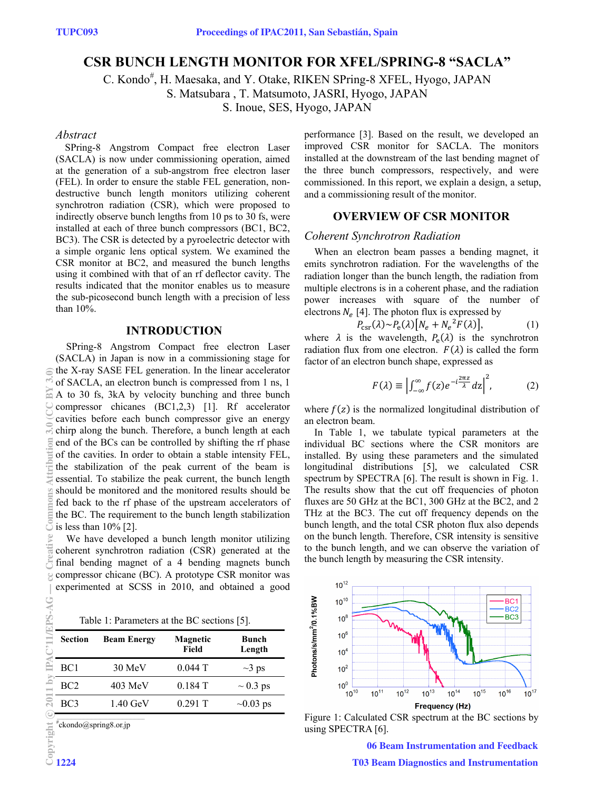# **CSR BUNCH LENGTH MONITOR FOR XFEL/SPRING-8 "SACLA"**

C. Kondo<sup>#</sup>, H. Maesaka, and Y. Otake, RIKEN SPring-8 XFEL, Hyogo, JAPAN

S. Matsubara , T. Matsumoto, JASRI, Hyogo, JAPAN

S. Inoue, SES, Hyogo, JAPAN

### *Abstract*

SPring-8 Angstrom Compact free electron Laser (SACLA) is now under commissioning operation, aimed at the generation of a sub-angstrom free electron laser (FEL). In order to ensure the stable FEL generation, nondestructive bunch length monitors utilizing coherent synchrotron radiation (CSR), which were proposed to indirectly observe bunch lengths from 10 ps to 30 fs, were installed at each of three bunch compressors (BC1, BC2, BC3). The CSR is detected by a pyroelectric detector with a simple organic lens optical system. We examined the CSR monitor at BC2, and measured the bunch lengths using it combined with that of an rf deflector cavity. The results indicated that the monitor enables us to measure the sub-picosecond bunch length with a precision of less than 10%.

### **INTRODUCTION**

SPring-8 Angstrom Compact free electron Laser (SACLA) in Japan is now in a commissioning stage for the X-ray SASE FEL generation. In the linear accelerator of SACLA, an electron bunch is compressed from 1 ns, 1 A to 30 fs, 3kA by velocity bunching and three bunch compressor chicanes (BC1,2,3) [1]. Rf accelerator cavities before each bunch compressor give an energy chirp along the bunch. Therefore, a bunch length at each end of the BCs can be controlled by shifting the rf phase of the cavities. In order to obtain a stable intensity FEL, the stabilization of the peak current of the beam is essential. To stabilize the peak current, the bunch length should be monitored and the monitored results should be fed back to the rf phase of the upstream accelerators of the BC. The requirement to the bunch length stabilization is less than 10% [2].

We have developed a bunch length monitor utilizing coherent synchrotron radiation (CSR) generated at the final bending magnet of a 4 bending magnets bunch compressor chicane (BC). A prototype CSR monitor was experimented at SCSS in 2010, and obtained a good

Table 1: Parameters at the BC sections [5].

| <b>Section</b> | <b>Beam Energy</b> | <b>Magnetic</b><br>Field | Bunch<br>Length |
|----------------|--------------------|--------------------------|-----------------|
| BC1            | 30 MeV             | $0.044$ T                | $\sim$ 3 ps     |
| BC2            | $403 \text{ MeV}$  | 0.184T                   | $\sim 0.3$ ps   |
| BC3            | $1.40 \text{ GeV}$ | 0.291T                   | $\sim 0.03$ ps  |

# ckondo@spring8.or.jp

performance [3]. Based on the result, we developed an improved CSR monitor for SACLA. The monitors installed at the downstream of the last bending magnet of the three bunch compressors, respectively, and were commissioned. In this report, we explain a design, a setup, and a commissioning result of the monitor.

## **OVERVIEW OF CSR MONITOR**

#### *Coherent Synchrotron Radiation*

When an electron beam passes a bending magnet, it emits synchrotron radiation. For the wavelengths of the radiation longer than the bunch length, the radiation from multiple electrons is in a coherent phase, and the radiation power increases with square of the number of electrons  $N_e$  [4]. The photon flux is expressed by

$$
P_{\rm csr}(\lambda) \sim P_{\rm e}(\lambda) \left[ N_e + N_e^2 F(\lambda) \right],\tag{1}
$$

where  $\lambda$  is the wavelength,  $P_e(\lambda)$  is the synchrotron radiation flux from one electron.  $F(\lambda)$  is called the form factor of an electron bunch shape, expressed as

$$
F(\lambda) \equiv \left| \int_{-\infty}^{\infty} f(z) e^{-i\frac{2\pi z}{\lambda}} dz \right|^2, \tag{2}
$$

where  $f(z)$  is the normalized longitudinal distribution of an electron beam.

In Table 1, we tabulate typical parameters at the individual BC sections where the CSR monitors are installed. By using these parameters and the simulated longitudinal distributions [5], we calculated CSR spectrum by SPECTRA [6]. The result is shown in Fig. 1. The results show that the cut off frequencies of photon fluxes are 50 GHz at the BC1, 300 GHz at the BC2, and 2 THz at the BC3. The cut off frequency depends on the bunch length, and the total CSR photon flux also depends on the bunch length. Therefore, CSR intensity is sensitive to the bunch length, and we can observe the variation of the bunch length by measuring the CSR intensity.



Figure 1: Calculated CSR spectrum at the BC sections by using SPECTRA [6].

06 Beam Instrumentation and Feedback T03 Beam Diagnostics and Instrumentation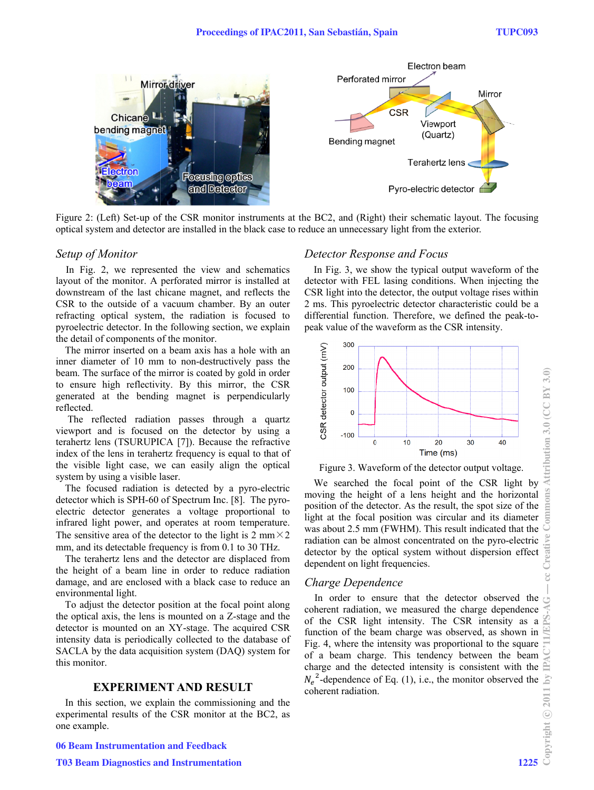

Figure 2: (Left) Set-up of the CSR monitor instruments at the BC2, and (Right) their schematic layout. The focusing optical system and detector are installed in the black case to reduce an unnecessary light from the exterior.

### *Setup of M Monitor*

In Fig. 2, we represented the view and schematics layout of the monitor. A perforated mirror is installed at downstream of the last chicane magnet, and reflects the CSR to the outside of a vacuum chamber. By an outer refracting optical system, the radiation is focused to pyroelectric detector. In the following section, we explain the detail of components of the monitor.

The mirror inserted on a beam axis has a hole with an inner diameter of 10 mm to non-destructively pass the beam. The surface of the mirror is coated by gold in order to ensure high reflectivity. By this mirror, the CSR generated at the bending magnet is perpendicularly reflected.

The reflected radiation passes through a quartz viewport and is focused on the detector by using a terahertz lens (TSURUPICA [7]). Because the refractive index of the lens in terahertz frequency is equal to that of the visible light case, we can easily align the optical system by using a visible laser.

The focused radiation is detected by a pyro-electric detector which is SPH-60 of Spectrum Inc. [8]. The pyroelectric detector generates a voltage proportional to infrared light power, and operates at room temperature. The sensitive area of the detector to the light is  $2 \text{ mm} \times 2$ mm, and its detectable frequency is from 0.1 to 30 THz.

The terahertz lens and the detector are displaced from the height of a beam line in order to reduce radiation damage, and are enclosed with a black case to reduce an environment al light.

To adjust the detector position at the focal point along the optical axis, the lens is mounted on a Z-stage and the detector is mounted on an XY-stage. The acquired CSR intensity data is periodically collected to the database of SACLA by the data acquisition system (DAQ) system for this monitor.

### **EXPERIMENT AND RESULT**

In this section, we explain the commissioning and the experimental results of the CSR monitor at the BC2, as one example .

#### 06 Beam Instrumentation and Feedback

### *Detector Response and Focus*

In Fig. 3, we show the typical output waveform of the detector with FEL lasing conditions. When injecting the CSR light into the detector, the output voltage rises within 2 ms. This pyroelectric detector characteristic could be a differential function. Therefore, we defined the peak-topeak value of the waveform as the CSR intensity. een<br>an<br>a<br>-



Figure 3. Waveform of the detector output voltage.

We searched the focal point of the CSR light by moving the height of a lens height and the horizontal position of the detector. As the result, the spot size of the light at the focal position was circular and its diameter was about 2.5 mm (FWHM). This result indicated that the radiation can be almost concentrated on the pyro-electric detector by the optical system without dispersion effect dependent on light frequencies.

### *Charge Dependence*

In order to ensure that the detector observed the coherent radiation, we measured the charge dependence of the CSR light intensity. The CSR intensity as a function of the beam charge was observed, as shown in Fig. 4, where the intensity was s proportional to the square of a beam charge. This tendency between the beam charge and the detected intensity is consistent with the  $N_e^2$ -dependence of Eq. (1), i.e., the monitor observed the coherent radiation.